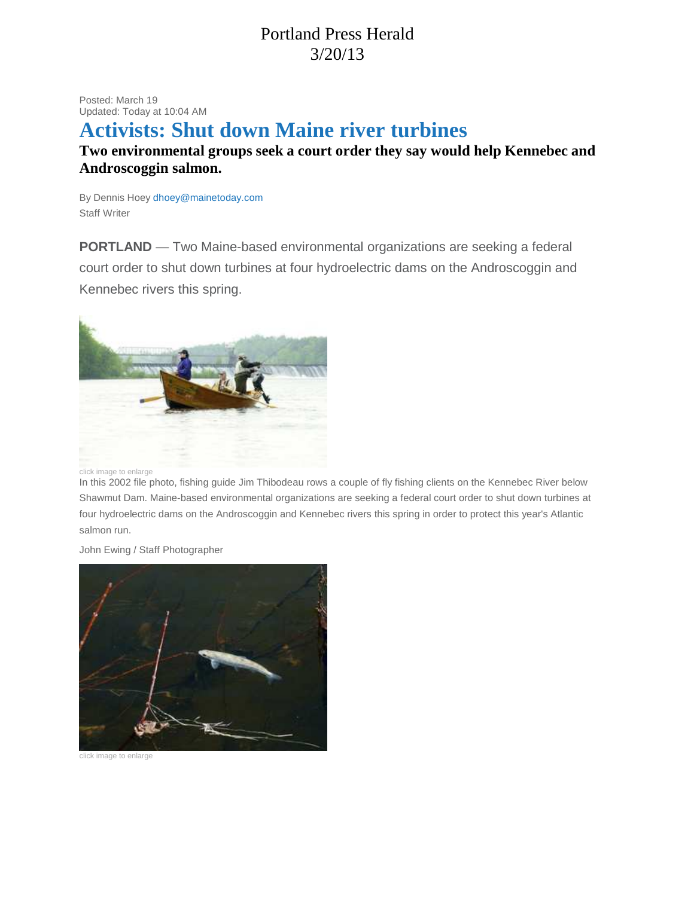## Portland Press Herald 3/20/13

Posted: March 19 Updated: Today at 10:04 AM

## **Activists: Shut down Maine river turbines**

## **Two environmental groups seek a court order they say would help Kennebec and Androscoggin salmon.**

By Dennis Hoey dhoey@mainetoday.com Staff Writer

**PORTLAND** — Two Maine-based environmental organizations are seeking a federal court order to shut down turbines at four hydroelectric dams on the Androscoggin and Kennebec rivers this spring.



click image to enlarge

In this 2002 file photo, fishing guide Jim Thibodeau rows a couple of fly fishing clients on the Kennebec River below Shawmut Dam. Maine-based environmental organizations are seeking a federal court order to shut down turbines at four hydroelectric dams on the Androscoggin and Kennebec rivers this spring in order to protect this year's Atlantic salmon run.

John Ewing / Staff Photographer



click image to enlarge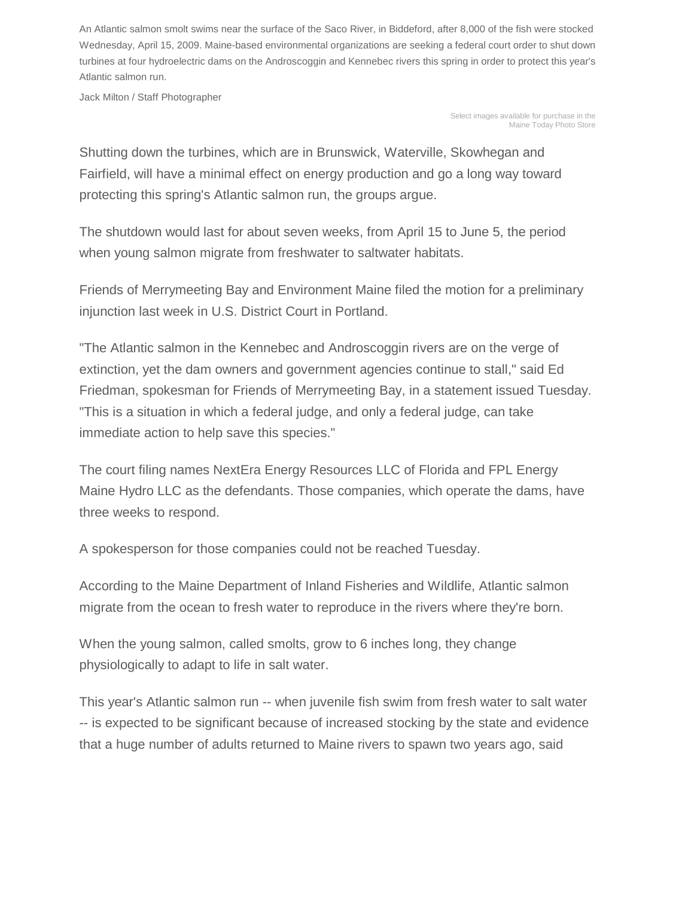An Atlantic salmon smolt swims near the surface of the Saco River, in Biddeford, after 8,000 of the fish were stocked Wednesday, April 15, 2009. Maine-based environmental organizations are seeking a federal court order to shut down turbines at four hydroelectric dams on the Androscoggin and Kennebec rivers this spring in order to protect this year's Atlantic salmon run.

Jack Milton / Staff Photographer

Select images available for purchase in the Maine Today Photo Store

Shutting down the turbines, which are in Brunswick, Waterville, Skowhegan and Fairfield, will have a minimal effect on energy production and go a long way toward protecting this spring's Atlantic salmon run, the groups argue.

The shutdown would last for about seven weeks, from April 15 to June 5, the period when young salmon migrate from freshwater to saltwater habitats.

Friends of Merrymeeting Bay and Environment Maine filed the motion for a preliminary injunction last week in U.S. District Court in Portland.

"The Atlantic salmon in the Kennebec and Androscoggin rivers are on the verge of extinction, yet the dam owners and government agencies continue to stall," said Ed Friedman, spokesman for Friends of Merrymeeting Bay, in a statement issued Tuesday. "This is a situation in which a federal judge, and only a federal judge, can take immediate action to help save this species."

The court filing names NextEra Energy Resources LLC of Florida and FPL Energy Maine Hydro LLC as the defendants. Those companies, which operate the dams, have three weeks to respond.

A spokesperson for those companies could not be reached Tuesday.

According to the Maine Department of Inland Fisheries and Wildlife, Atlantic salmon migrate from the ocean to fresh water to reproduce in the rivers where they're born.

When the young salmon, called smolts, grow to 6 inches long, they change physiologically to adapt to life in salt water.

This year's Atlantic salmon run -- when juvenile fish swim from fresh water to salt water -- is expected to be significant because of increased stocking by the state and evidence that a huge number of adults returned to Maine rivers to spawn two years ago, said